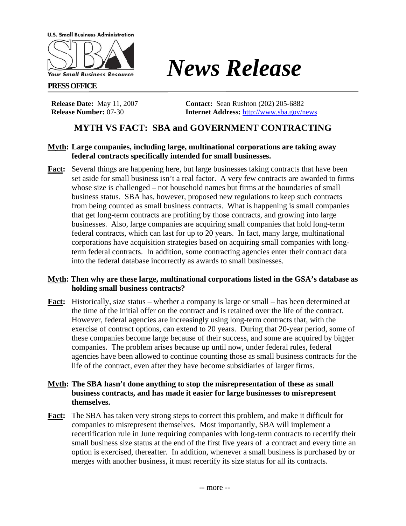**U.S. Small Business Administration** 



#### **PRESS OFFICE**

**Release Number:** 07-30 **Internet Address:** <http://www.sba.gov/news>

**Release Date:** May 11, 2007 **Contact:** Sean Rushton (202) 205-6882

*News Release*

# **MYTH VS FACT: SBA and GOVERNMENT CONTRACTING**

# **Myth: Large companies, including large, multinational corporations are taking away federal contracts specifically intended for small businesses.**

**Fact:** Several things are happening here, but large businesses taking contracts that have been set aside for small business isn't a real factor. A very few contracts are awarded to firms whose size is challenged – not household names but firms at the boundaries of small business status. SBA has, however, proposed new regulations to keep such contracts from being counted as small business contracts. What is happening is small companies that get long-term contracts are profiting by those contracts, and growing into large businesses. Also, large companies are acquiring small companies that hold long-term federal contracts, which can last for up to 20 years. In fact, many large, multinational corporations have acquisition strategies based on acquiring small companies with longterm federal contracts. In addition, some contracting agencies enter their contract data into the federal database incorrectly as awards to small businesses.

### **Myth: Then why are these large, multinational corporations listed in the GSA's database as holding small business contracts?**

**Fact:** Historically, size status – whether a company is large or small – has been determined at the time of the initial offer on the contract and is retained over the life of the contract. However, federal agencies are increasingly using long-term contracts that, with the exercise of contract options, can extend to 20 years. During that 20-year period, some of these companies become large because of their success, and some are acquired by bigger companies. The problem arises because up until now, under federal rules, federal agencies have been allowed to continue counting those as small business contracts for the life of the contract, even after they have become subsidiaries of larger firms.

### **Myth: The SBA hasn't done anything to stop the misrepresentation of these as small business contracts, and has made it easier for large businesses to misrepresent themselves.**

**Fact:** The SBA has taken very strong steps to correct this problem, and make it difficult for companies to misrepresent themselves. Most importantly, SBA will implement a recertification rule in June requiring companies with long-term contracts to recertify their small business size status at the end of the first five years of a contract and every time an option is exercised, thereafter. In addition, whenever a small business is purchased by or merges with another business, it must recertify its size status for all its contracts.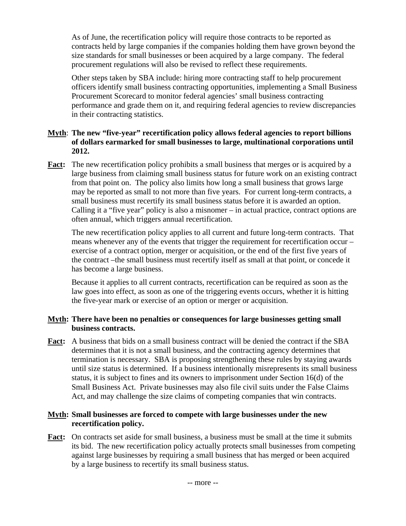As of June, the recertification policy will require those contracts to be reported as contracts held by large companies if the companies holding them have grown beyond the size standards for small businesses or been acquired by a large company. The federal procurement regulations will also be revised to reflect these requirements.

Other steps taken by SBA include: hiring more contracting staff to help procurement officers identify small business contracting opportunities, implementing a Small Business Procurement Scorecard to monitor federal agencies' small business contracting performance and grade them on it, and requiring federal agencies to review discrepancies in their contracting statistics.

# **Myth**: **The new "five-year" recertification policy allows federal agencies to report billions of dollars earmarked for small businesses to large, multinational corporations until 2012.**

**Fact:** The new recertification policy prohibits a small business that merges or is acquired by a large business from claiming small business status for future work on an existing contract from that point on. The policy also limits how long a small business that grows large may be reported as small to not more than five years. For current long-term contracts, a small business must recertify its small business status before it is awarded an option. Calling it a "five year" policy is also a misnomer – in actual practice, contract options are often annual, which triggers annual recertification.

The new recertification policy applies to all current and future long-term contracts. That means whenever any of the events that trigger the requirement for recertification occur – exercise of a contract option, merger or acquisition, or the end of the first five years of the contract –the small business must recertify itself as small at that point, or concede it has become a large business.

Because it applies to all current contracts, recertification can be required as soon as the law goes into effect, as soon as one of the triggering events occurs, whether it is hitting the five-year mark or exercise of an option or merger or acquisition.

# **Myth: There have been no penalties or consequences for large businesses getting small business contracts.**

**Fact:** A business that bids on a small business contract will be denied the contract if the SBA determines that it is not a small business, and the contracting agency determines that termination is necessary. SBA is proposing strengthening these rules by staying awards until size status is determined. If a business intentionally misrepresents its small business status, it is subject to fines and its owners to imprisonment under Section 16(d) of the Small Business Act. Private businesses may also file civil suits under the False Claims Act, and may challenge the size claims of competing companies that win contracts.

### **Myth: Small businesses are forced to compete with large businesses under the new recertification policy.**

Fact: On contracts set aside for small business, a business must be small at the time it submits its bid. The new recertification policy actually protects small businesses from competing against large businesses by requiring a small business that has merged or been acquired by a large business to recertify its small business status.